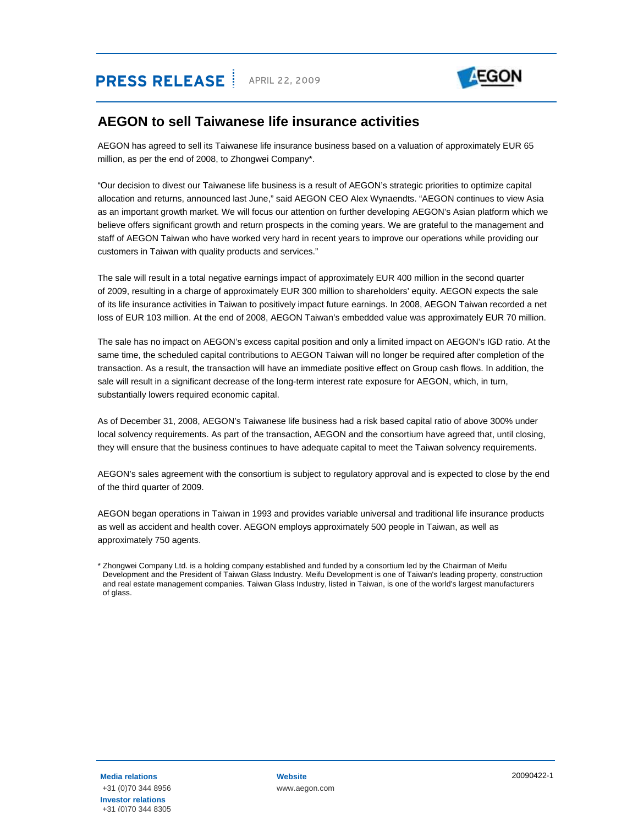# **PRESS RELEASE** | APRIL 22, 2009



### **AEGON to sell Taiwanese life insurance activities**

AEGON has agreed to sell its Taiwanese life insurance business based on a valuation of approximately EUR 65 million, as per the end of 2008, to Zhongwei Company\*.

"Our decision to divest our Taiwanese life business is a result of AEGON's strategic priorities to optimize capital allocation and returns, announced last June," said AEGON CEO Alex Wynaendts. "AEGON continues to view Asia as an important growth market. We will focus our attention on further developing AEGON's Asian platform which we believe offers significant growth and return prospects in the coming years. We are grateful to the management and staff of AEGON Taiwan who have worked very hard in recent years to improve our operations while providing our customers in Taiwan with quality products and services."

The sale will result in a total negative earnings impact of approximately EUR 400 million in the second quarter of 2009, resulting in a charge of approximately EUR 300 million to shareholders' equity. AEGON expects the sale of its life insurance activities in Taiwan to positively impact future earnings. In 2008, AEGON Taiwan recorded a net loss of EUR 103 million. At the end of 2008, AEGON Taiwan's embedded value was approximately EUR 70 million.

The sale has no impact on AEGON's excess capital position and only a limited impact on AEGON's IGD ratio. At the same time, the scheduled capital contributions to AEGON Taiwan will no longer be required after completion of the transaction. As a result, the transaction will have an immediate positive effect on Group cash flows. In addition, the sale will result in a significant decrease of the long-term interest rate exposure for AEGON, which, in turn, substantially lowers required economic capital.

As of December 31, 2008, AEGON's Taiwanese life business had a risk based capital ratio of above 300% under local solvency requirements. As part of the transaction, AEGON and the consortium have agreed that, until closing, they will ensure that the business continues to have adequate capital to meet the Taiwan solvency requirements.

AEGON's sales agreement with the consortium is subject to regulatory approval and is expected to close by the end of the third quarter of 2009.

AEGON began operations in Taiwan in 1993 and provides variable universal and traditional life insurance products as well as accident and health cover. AEGON employs approximately 500 people in Taiwan, as well as approximately 750 agents.

<sup>\*</sup> Zhongwei Company Ltd. is a holding company established and funded by a consortium led by the Chairman of Meifu Development and the President of Taiwan Glass Industry. Meifu Development is one of Taiwan's leading property, construction and real estate management companies. Taiwan Glass Industry, listed in Taiwan, is one of the world's largest manufacturers of glass.